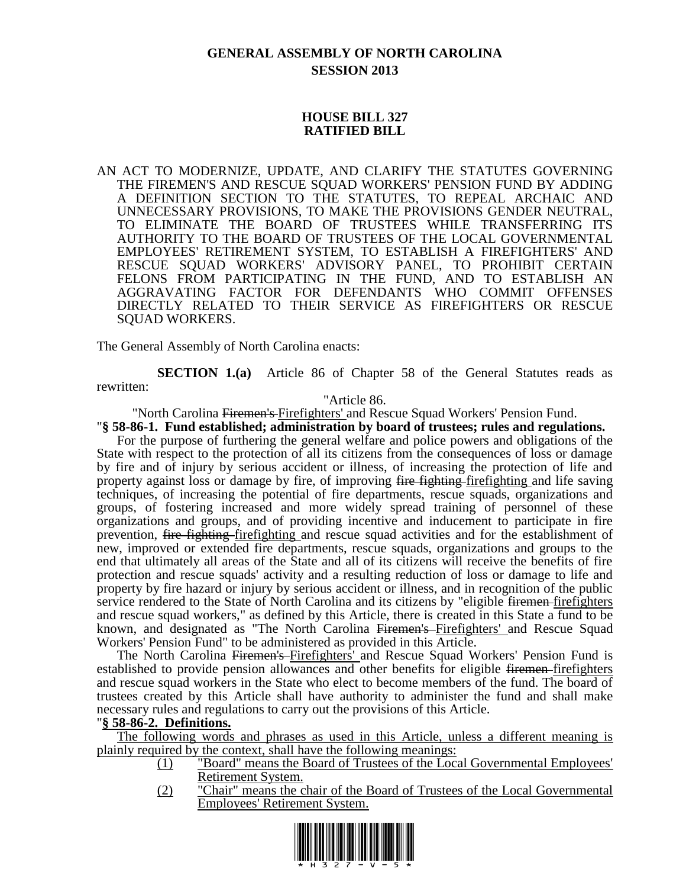# **GENERAL ASSEMBLY OF NORTH CAROLINA SESSION 2013**

# **HOUSE BILL 327 RATIFIED BILL**

AN ACT TO MODERNIZE, UPDATE, AND CLARIFY THE STATUTES GOVERNING THE FIREMEN'S AND RESCUE SQUAD WORKERS' PENSION FUND BY ADDING A DEFINITION SECTION TO THE STATUTES, TO REPEAL ARCHAIC AND UNNECESSARY PROVISIONS, TO MAKE THE PROVISIONS GENDER NEUTRAL, TO ELIMINATE THE BOARD OF TRUSTEES WHILE TRANSFERRING ITS AUTHORITY TO THE BOARD OF TRUSTEES OF THE LOCAL GOVERNMENTAL EMPLOYEES' RETIREMENT SYSTEM, TO ESTABLISH A FIREFIGHTERS' AND RESCUE SQUAD WORKERS' ADVISORY PANEL, TO PROHIBIT CERTAIN FELONS FROM PARTICIPATING IN THE FUND, AND TO ESTABLISH AN AGGRAVATING FACTOR FOR DEFENDANTS WHO COMMIT OFFENSES DIRECTLY RELATED TO THEIR SERVICE AS FIREFIGHTERS OR RESCUE SQUAD WORKERS.

The General Assembly of North Carolina enacts:

**SECTION 1.(a)** Article 86 of Chapter 58 of the General Statutes reads as rewritten:

"Article 86.

"North Carolina Firemen's Firefighters' and Rescue Squad Workers' Pension Fund. "**§ 58-86-1. Fund established; administration by board of trustees; rules and regulations.**

For the purpose of furthering the general welfare and police powers and obligations of the State with respect to the protection of all its citizens from the consequences of loss or damage by fire and of injury by serious accident or illness, of increasing the protection of life and property against loss or damage by fire, of improving fire fighting firefighting and life saving techniques, of increasing the potential of fire departments, rescue squads, organizations and groups, of fostering increased and more widely spread training of personnel of these organizations and groups, and of providing incentive and inducement to participate in fire prevention, fire fighting firefighting and rescue squad activities and for the establishment of new, improved or extended fire departments, rescue squads, organizations and groups to the end that ultimately all areas of the State and all of its citizens will receive the benefits of fire protection and rescue squads' activity and a resulting reduction of loss or damage to life and property by fire hazard or injury by serious accident or illness, and in recognition of the public service rendered to the State of North Carolina and its citizens by "eligible <del>firemen firefighters</del> and rescue squad workers," as defined by this Article, there is created in this State a fund to be known, and designated as "The North Carolina Firemen's Firefighters' and Rescue Squad Workers' Pension Fund" to be administered as provided in this Article.

The North Carolina Firemen's Firefighters' and Rescue Squad Workers' Pension Fund is established to provide pension allowances and other benefits for eligible <del>firemen firefighters</del> and rescue squad workers in the State who elect to become members of the fund. The board of trustees created by this Article shall have authority to administer the fund and shall make necessary rules and regulations to carry out the provisions of this Article.

## "**§ 58-86-2. Definitions.**

The following words and phrases as used in this Article, unless a different meaning is plainly required by the context, shall have the following meanings:

- (1) "Board" means the Board of Trustees of the Local Governmental Employees' Retirement System.
- (2) "Chair" means the chair of the Board of Trustees of the Local Governmental Employees' Retirement System.

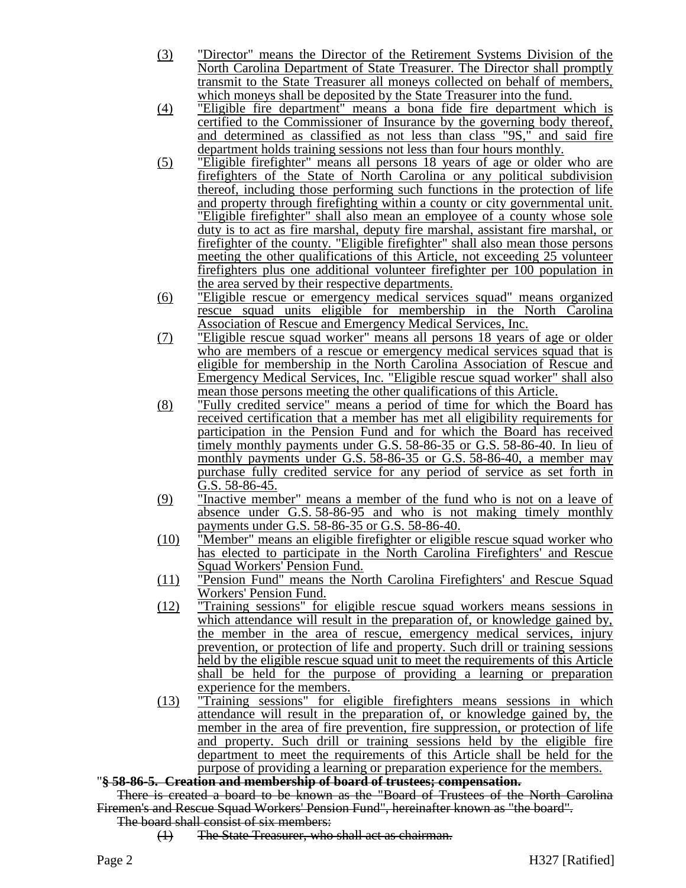- (3) "Director" means the Director of the Retirement Systems Division of the North Carolina Department of State Treasurer. The Director shall promptly transmit to the State Treasurer all moneys collected on behalf of members, which moneys shall be deposited by the State Treasurer into the fund.
- (4) "Eligible fire department" means a bona fide fire department which is certified to the Commissioner of Insurance by the governing body thereof, and determined as classified as not less than class "9S," and said fire department holds training sessions not less than four hours monthly.
- (5) "Eligible firefighter" means all persons 18 years of age or older who are firefighters of the State of North Carolina or any political subdivision thereof, including those performing such functions in the protection of life and property through firefighting within a county or city governmental unit. "Eligible firefighter" shall also mean an employee of a county whose sole duty is to act as fire marshal, deputy fire marshal, assistant fire marshal, or firefighter of the county. "Eligible firefighter" shall also mean those persons meeting the other qualifications of this Article, not exceeding 25 volunteer firefighters plus one additional volunteer firefighter per 100 population in the area served by their respective departments.
- (6) "Eligible rescue or emergency medical services squad" means organized rescue squad units eligible for membership in the North Carolina Association of Rescue and Emergency Medical Services, Inc.
- (7) "Eligible rescue squad worker" means all persons 18 years of age or older who are members of a rescue or emergency medical services squad that is eligible for membership in the North Carolina Association of Rescue and Emergency Medical Services, Inc. "Eligible rescue squad worker" shall also mean those persons meeting the other qualifications of this Article.
- (8) "Fully credited service" means a period of time for which the Board has received certification that a member has met all eligibility requirements for participation in the Pension Fund and for which the Board has received timely monthly payments under G.S. 58-86-35 or G.S. 58-86-40. In lieu of monthly payments under G.S. 58-86-35 or G.S. 58-86-40, a member may purchase fully credited service for any period of service as set forth in G.S. 58-86-45.
- (9) "Inactive member" means a member of the fund who is not on a leave of absence under G.S. 58-86-95 and who is not making timely monthly payments under G.S. 58-86-35 or G.S. 58-86-40.
- (10) "Member" means an eligible firefighter or eligible rescue squad worker who has elected to participate in the North Carolina Firefighters' and Rescue Squad Workers' Pension Fund.
- (11) "Pension Fund" means the North Carolina Firefighters' and Rescue Squad Workers' Pension Fund.
- (12) "Training sessions" for eligible rescue squad workers means sessions in which attendance will result in the preparation of, or knowledge gained by, the member in the area of rescue, emergency medical services, injury prevention, or protection of life and property. Such drill or training sessions held by the eligible rescue squad unit to meet the requirements of this Article shall be held for the purpose of providing a learning or preparation experience for the members.
- (13) "Training sessions" for eligible firefighters means sessions in which attendance will result in the preparation of, or knowledge gained by, the member in the area of fire prevention, fire suppression, or protection of life and property. Such drill or training sessions held by the eligible fire department to meet the requirements of this Article shall be held for the purpose of providing a learning or preparation experience for the members.

## "**§ 58-86-5. Creation and membership of board of trustees; compensation.**

There is created a board to be known as the "Board of Trustees of the North Carolina Firemen's and Rescue Squad Workers' Pension Fund", hereinafter known as "the board".

The board shall consist of six members:

(1) The State Treasurer, who shall act as chairman.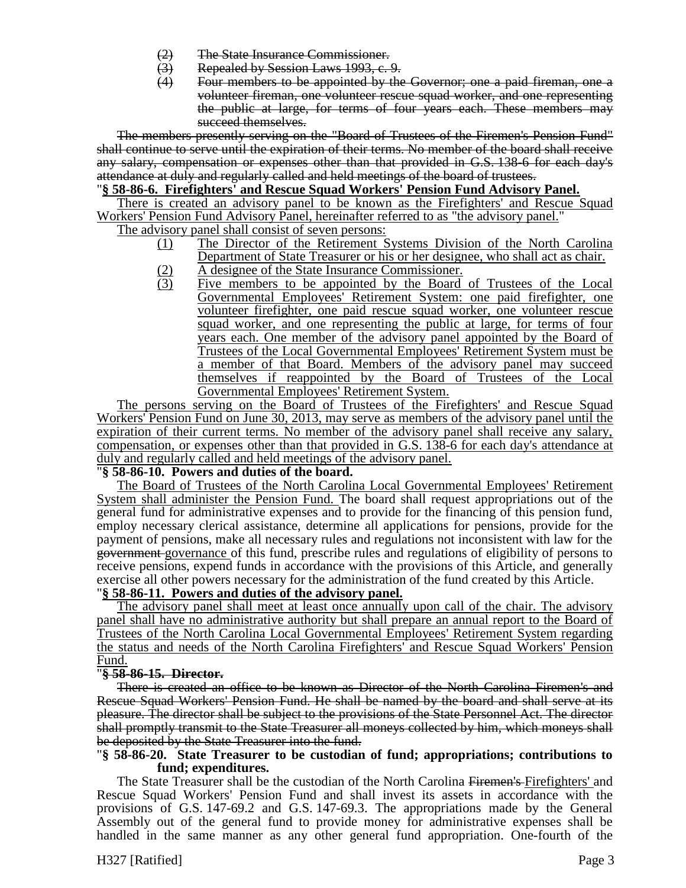- 
- (2) The State Insurance Commissioner.<br>(3) Repealed by Session Laws 1993, c. (3) Repealed by Session Laws 1993, c. 9.<br>(4) Four members to be appointed by the
- Four members to be appointed by the Governor; one a paid fireman, one a volunteer fireman, one volunteer rescue squad worker, and one representing the public at large, for terms of four years each. These members may succeed themselves.

The members presently serving on the "Board of Trustees of the Firemen's Pension Fund" shall continue to serve until the expiration of their terms. No member of the board shall receive any salary, compensation or expenses other than that provided in G.S. 138-6 for each day's attendance at duly and regularly called and held meetings of the board of trustees.

### "**§ 58-86-6. Firefighters' and Rescue Squad Workers' Pension Fund Advisory Panel.**

There is created an advisory panel to be known as the Firefighters' and Rescue Squad Workers' Pension Fund Advisory Panel, hereinafter referred to as "the advisory panel."

The advisory panel shall consist of seven persons:

- (1) The Director of the Retirement Systems Division of the North Carolina Department of State Treasurer or his or her designee, who shall act as chair.
- (2) A designee of the State Insurance Commissioner.<br>
(3) Five members to be appointed by the Board Five members to be appointed by the Board of Trustees of the Local Governmental Employees' Retirement System: one paid firefighter, one volunteer firefighter, one paid rescue squad worker, one volunteer rescue squad worker, and one representing the public at large, for terms of four years each. One member of the advisory panel appointed by the Board of Trustees of the Local Governmental Employees' Retirement System must be a member of that Board. Members of the advisory panel may succeed themselves if reappointed by the Board of Trustees of the Local Governmental Employees' Retirement System.

The persons serving on the Board of Trustees of the Firefighters' and Rescue Squad Workers' Pension Fund on June 30, 2013, may serve as members of the advisory panel until the expiration of their current terms. No member of the advisory panel shall receive any salary, compensation, or expenses other than that provided in G.S. 138-6 for each day's attendance at duly and regularly called and held meetings of the advisory panel.

## "**§ 58-86-10. Powers and duties of the board.**

The Board of Trustees of the North Carolina Local Governmental Employees' Retirement System shall administer the Pension Fund. The board shall request appropriations out of the general fund for administrative expenses and to provide for the financing of this pension fund, employ necessary clerical assistance, determine all applications for pensions, provide for the payment of pensions, make all necessary rules and regulations not inconsistent with law for the government governance of this fund, prescribe rules and regulations of eligibility of persons to receive pensions, expend funds in accordance with the provisions of this Article, and generally exercise all other powers necessary for the administration of the fund created by this Article.

# "**§ 58-86-11. Powers and duties of the advisory panel.**

The advisory panel shall meet at least once annually upon call of the chair. The advisory panel shall have no administrative authority but shall prepare an annual report to the Board of Trustees of the North Carolina Local Governmental Employees' Retirement System regarding the status and needs of the North Carolina Firefighters' and Rescue Squad Workers' Pension Fund.

## "**§ 58-86-15. Director.**

There is created an office to be known as Director of the North Carolina Firemen's and Rescue Squad Workers' Pension Fund. He shall be named by the board and shall serve at its pleasure. The director shall be subject to the provisions of the State Personnel Act. The director shall promptly transmit to the State Treasurer all moneys collected by him, which moneys shall be deposited by the State Treasurer into the fund.

### "**§ 58-86-20. State Treasurer to be custodian of fund; appropriations; contributions to fund; expenditures.**

The State Treasurer shall be the custodian of the North Carolina Firemen's Firefighters' and Rescue Squad Workers' Pension Fund and shall invest its assets in accordance with the provisions of G.S. 147-69.2 and G.S. 147-69.3. The appropriations made by the General Assembly out of the general fund to provide money for administrative expenses shall be handled in the same manner as any other general fund appropriation. One-fourth of the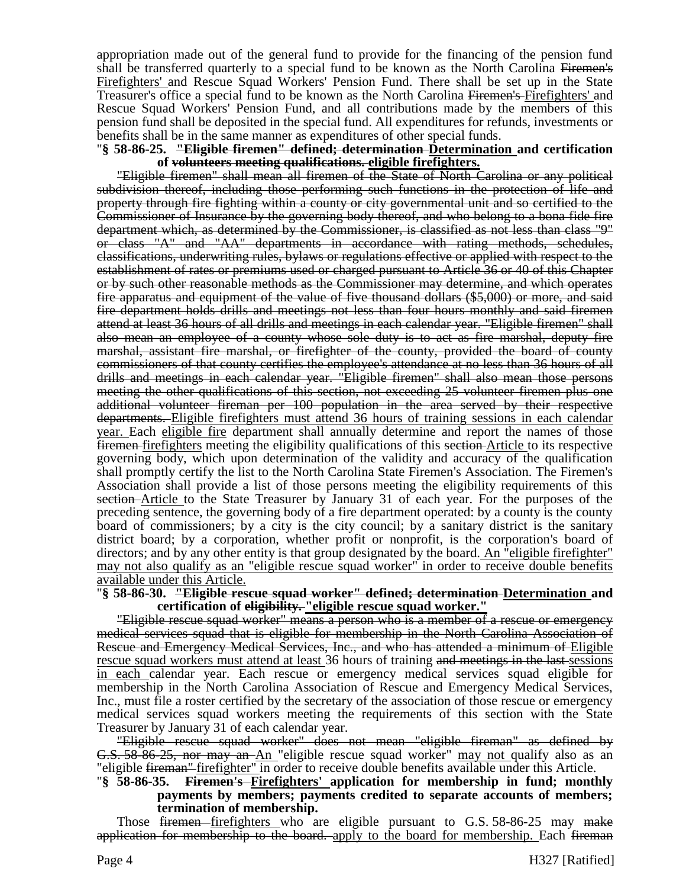appropriation made out of the general fund to provide for the financing of the pension fund shall be transferred quarterly to a special fund to be known as the North Carolina Firemen's Firefighters' and Rescue Squad Workers' Pension Fund. There shall be set up in the State Treasurer's office a special fund to be known as the North Carolina Firemen's-Firefighters' and Rescue Squad Workers' Pension Fund, and all contributions made by the members of this pension fund shall be deposited in the special fund. All expenditures for refunds, investments or benefits shall be in the same manner as expenditures of other special funds.

#### "**§ 58-86-25. "Eligible firemen" defined; determination Determination and certification of volunteers meeting qualifications. eligible firefighters.**

"Eligible firemen" shall mean all firemen of the State of North Carolina or any political subdivision thereof, including those performing such functions in the protection of life and property through fire fighting within a county or city governmental unit and so certified to the Commissioner of Insurance by the governing body thereof, and who belong to a bona fide fire department which, as determined by the Commissioner, is classified as not less than class "9" or class "A" and "AA" departments in accordance with rating methods, schedules, classifications, underwriting rules, bylaws or regulations effective or applied with respect to the establishment of rates or premiums used or charged pursuant to Article 36 or 40 of this Chapter or by such other reasonable methods as the Commissioner may determine, and which operates fire apparatus and equipment of the value of five thousand dollars (\$5,000) or more, and said fire department holds drills and meetings not less than four hours monthly and said firemen attend at least 36 hours of all drills and meetings in each calendar year. "Eligible firemen" shall also mean an employee of a county whose sole duty is to act as fire marshal, deputy fire marshal, assistant fire marshal, or firefighter of the county, provided the board of county commissioners of that county certifies the employee's attendance at no less than 36 hours of all drills and meetings in each calendar year. "Eligible firemen" shall also mean those persons meeting the other qualifications of this section, not exceeding 25 volunteer firemen plus one additional volunteer fireman per 100 population in the area served by their respective departments. Eligible firefighters must attend 36 hours of training sessions in each calendar year. Each eligible fire department shall annually determine and report the names of those firemen firefighters meeting the eligibility qualifications of this section Article to its respective governing body, which upon determination of the validity and accuracy of the qualification shall promptly certify the list to the North Carolina State Firemen's Association. The Firemen's Association shall provide a list of those persons meeting the eligibility requirements of this section Article to the State Treasurer by January 31 of each year. For the purposes of the preceding sentence, the governing body of a fire department operated: by a county is the county board of commissioners; by a city is the city council; by a sanitary district is the sanitary district board; by a corporation, whether profit or nonprofit, is the corporation's board of directors; and by any other entity is that group designated by the board. An "eligible firefighter" may not also qualify as an "eligible rescue squad worker" in order to receive double benefits available under this Article.

### "**§ 58-86-30. "Eligible rescue squad worker" defined; determination Determination and certification of eligibility. "eligible rescue squad worker."**

"Eligible rescue squad worker" means a person who is a member of a rescue or emergency medical services squad that is eligible for membership in the North Carolina Association of Rescue and Emergency Medical Services, Inc., and who has attended a minimum of Eligible rescue squad workers must attend at least 36 hours of training and meetings in the last sessions in each calendar year. Each rescue or emergency medical services squad eligible for membership in the North Carolina Association of Rescue and Emergency Medical Services, Inc., must file a roster certified by the secretary of the association of those rescue or emergency medical services squad workers meeting the requirements of this section with the State Treasurer by January 31 of each calendar year.

"Eligible rescue squad worker" does not mean "eligible fireman" as defined by **G.S. 58-86-25, nor may an An** "eligible rescue squad worker" may not qualify also as an "eligible fireman" firefighter" in order to receive double benefits available under this Article.

### "**§ 58-86-35. Firemen's Firefighters' application for membership in fund; monthly payments by members; payments credited to separate accounts of members; termination of membership.**

Those <del>firemen firefighters</del> who are eligible pursuant to G.S. 58-86-25 may make application for membership to the board. apply to the board for membership. Each fireman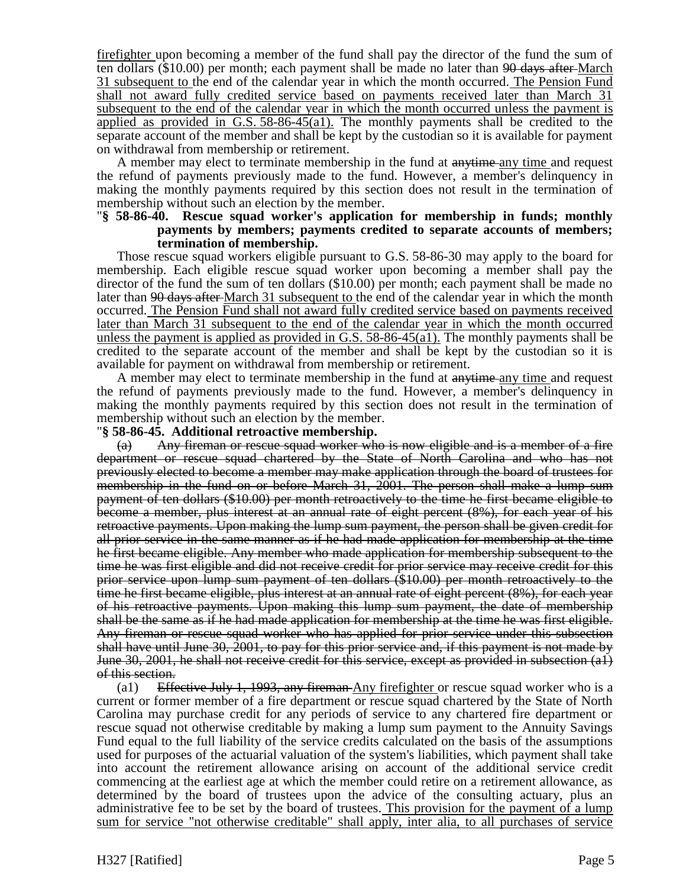firefighter upon becoming a member of the fund shall pay the director of the fund the sum of ten dollars (\$10.00) per month; each payment shall be made no later than  $90$  days after-March 31 subsequent to the end of the calendar year in which the month occurred. The Pension Fund shall not award fully credited service based on payments received later than March 31 subsequent to the end of the calendar year in which the month occurred unless the payment is applied as provided in G.S. 58-86-45(a1). The monthly payments shall be credited to the separate account of the member and shall be kept by the custodian so it is available for payment on withdrawal from membership or retirement.

A member may elect to terminate membership in the fund at anytime any time and request the refund of payments previously made to the fund. However, a member's delinquency in making the monthly payments required by this section does not result in the termination of membership without such an election by the member.

### "**§ 58-86-40. Rescue squad worker's application for membership in funds; monthly payments by members; payments credited to separate accounts of members; termination of membership.**

Those rescue squad workers eligible pursuant to G.S. 58-86-30 may apply to the board for membership. Each eligible rescue squad worker upon becoming a member shall pay the director of the fund the sum of ten dollars (\$10.00) per month; each payment shall be made no later than <del>90 days after</del> March 31 subsequent to the end of the calendar year in which the month occurred. The Pension Fund shall not award fully credited service based on payments received later than March 31 subsequent to the end of the calendar year in which the month occurred unless the payment is applied as provided in G.S.  $58-86-45(a1)$ . The monthly payments shall be credited to the separate account of the member and shall be kept by the custodian so it is available for payment on withdrawal from membership or retirement.

A member may elect to terminate membership in the fund at anytime any time and request the refund of payments previously made to the fund. However, a member's delinquency in making the monthly payments required by this section does not result in the termination of membership without such an election by the member.

### "**§ 58-86-45. Additional retroactive membership.**

(a) Any fireman or rescue squad worker who is now eligible and is a member of a fire department or rescue squad chartered by the State of North Carolina and who has not previously elected to become a member may make application through the board of trustees for membership in the fund on or before March 31, 2001. The person shall make a lump sum payment of ten dollars (\$10.00) per month retroactively to the time he first became eligible to become a member, plus interest at an annual rate of eight percent (8%), for each year of his retroactive payments. Upon making the lump sum payment, the person shall be given credit for all prior service in the same manner as if he had made application for membership at the time he first became eligible. Any member who made application for membership subsequent to the time he was first eligible and did not receive credit for prior service may receive credit for this prior service upon lump sum payment of ten dollars (\$10.00) per month retroactively to the time he first became eligible, plus interest at an annual rate of eight percent (8%), for each year of his retroactive payments. Upon making this lump sum payment, the date of membership shall be the same as if he had made application for membership at the time he was first eligible. Any fireman or rescue squad worker who has applied for prior service under this subsection shall have until June 30, 2001, to pay for this prior service and, if this payment is not made by June 30, 2001, he shall not receive credit for this service, except as provided in subsection (a1) of this section.

(a1) Effective July 1, 1993, any fireman Any firefighter or rescue squad worker who is a current or former member of a fire department or rescue squad chartered by the State of North Carolina may purchase credit for any periods of service to any chartered fire department or rescue squad not otherwise creditable by making a lump sum payment to the Annuity Savings Fund equal to the full liability of the service credits calculated on the basis of the assumptions used for purposes of the actuarial valuation of the system's liabilities, which payment shall take into account the retirement allowance arising on account of the additional service credit commencing at the earliest age at which the member could retire on a retirement allowance, as determined by the board of trustees upon the advice of the consulting actuary, plus an administrative fee to be set by the board of trustees. This provision for the payment of a lump sum for service "not otherwise creditable" shall apply, inter alia, to all purchases of service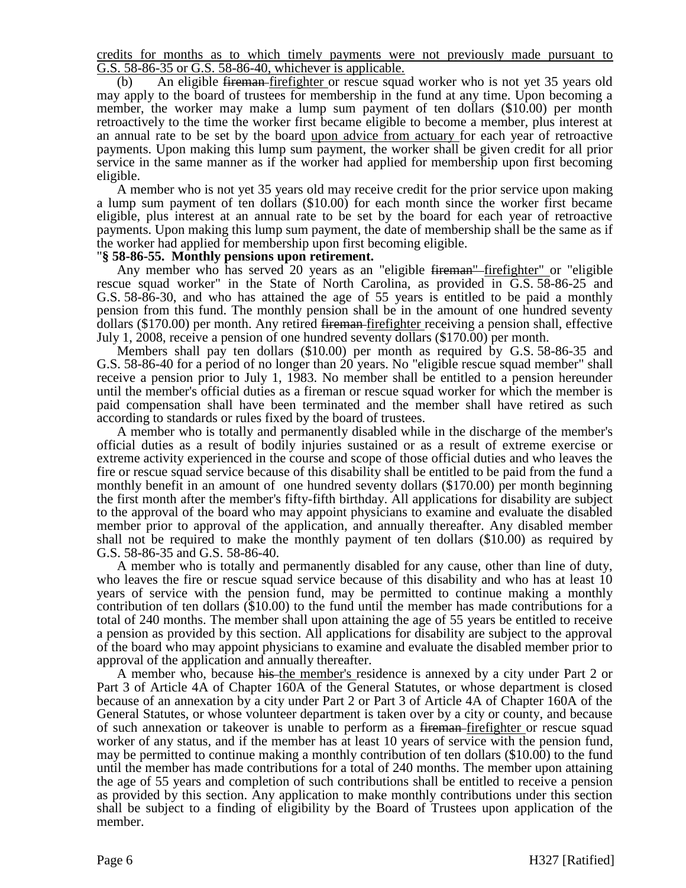credits for months as to which timely payments were not previously made pursuant to G.S. 58-86-35 or G.S. 58-86-40, whichever is applicable.

(b) An eligible fireman firefighter or rescue squad worker who is not yet 35 years old may apply to the board of trustees for membership in the fund at any time. Upon becoming a member, the worker may make a lump sum payment of ten dollars (\$10.00) per month retroactively to the time the worker first became eligible to become a member, plus interest at an annual rate to be set by the board upon advice from actuary for each year of retroactive payments. Upon making this lump sum payment, the worker shall be given credit for all prior service in the same manner as if the worker had applied for membership upon first becoming eligible.

A member who is not yet 35 years old may receive credit for the prior service upon making a lump sum payment of ten dollars (\$10.00) for each month since the worker first became eligible, plus interest at an annual rate to be set by the board for each year of retroactive payments. Upon making this lump sum payment, the date of membership shall be the same as if the worker had applied for membership upon first becoming eligible.

### "**§ 58-86-55. Monthly pensions upon retirement.**

Any member who has served 20 years as an "eligible <del>fireman"</del> firefighter" or "eligible rescue squad worker" in the State of North Carolina, as provided in G.S. 58-86-25 and G.S. 58-86-30, and who has attained the age of 55 years is entitled to be paid a monthly pension from this fund. The monthly pension shall be in the amount of one hundred seventy dollars (\$170.00) per month. Any retired fireman firefighter receiving a pension shall, effective July 1, 2008, receive a pension of one hundred seventy dollars (\$170.00) per month.

Members shall pay ten dollars (\$10.00) per month as required by G.S. 58-86-35 and G.S. 58-86-40 for a period of no longer than 20 years. No "eligible rescue squad member" shall receive a pension prior to July 1, 1983. No member shall be entitled to a pension hereunder until the member's official duties as a fireman or rescue squad worker for which the member is paid compensation shall have been terminated and the member shall have retired as such according to standards or rules fixed by the board of trustees.

A member who is totally and permanently disabled while in the discharge of the member's official duties as a result of bodily injuries sustained or as a result of extreme exercise or extreme activity experienced in the course and scope of those official duties and who leaves the fire or rescue squad service because of this disability shall be entitled to be paid from the fund a monthly benefit in an amount of one hundred seventy dollars (\$170.00) per month beginning the first month after the member's fifty-fifth birthday. All applications for disability are subject to the approval of the board who may appoint physicians to examine and evaluate the disabled member prior to approval of the application, and annually thereafter. Any disabled member shall not be required to make the monthly payment of ten dollars (\$10.00) as required by G.S. 58-86-35 and G.S. 58-86-40.

A member who is totally and permanently disabled for any cause, other than line of duty, who leaves the fire or rescue squad service because of this disability and who has at least 10 years of service with the pension fund, may be permitted to continue making a monthly contribution of ten dollars (\$10.00) to the fund until the member has made contributions for a total of 240 months. The member shall upon attaining the age of 55 years be entitled to receive a pension as provided by this section. All applications for disability are subject to the approval of the board who may appoint physicians to examine and evaluate the disabled member prior to approval of the application and annually thereafter.

A member who, because his the member's residence is annexed by a city under Part 2 or Part 3 of Article 4A of Chapter 160A of the General Statutes, or whose department is closed because of an annexation by a city under Part 2 or Part 3 of Article 4A of Chapter 160A of the General Statutes, or whose volunteer department is taken over by a city or county, and because of such annexation or takeover is unable to perform as a <del>fireman firefighter</del> or rescue squad worker of any status, and if the member has at least 10 years of service with the pension fund, may be permitted to continue making a monthly contribution of ten dollars (\$10.00) to the fund until the member has made contributions for a total of 240 months. The member upon attaining the age of 55 years and completion of such contributions shall be entitled to receive a pension as provided by this section. Any application to make monthly contributions under this section shall be subject to a finding of eligibility by the Board of Trustees upon application of the member.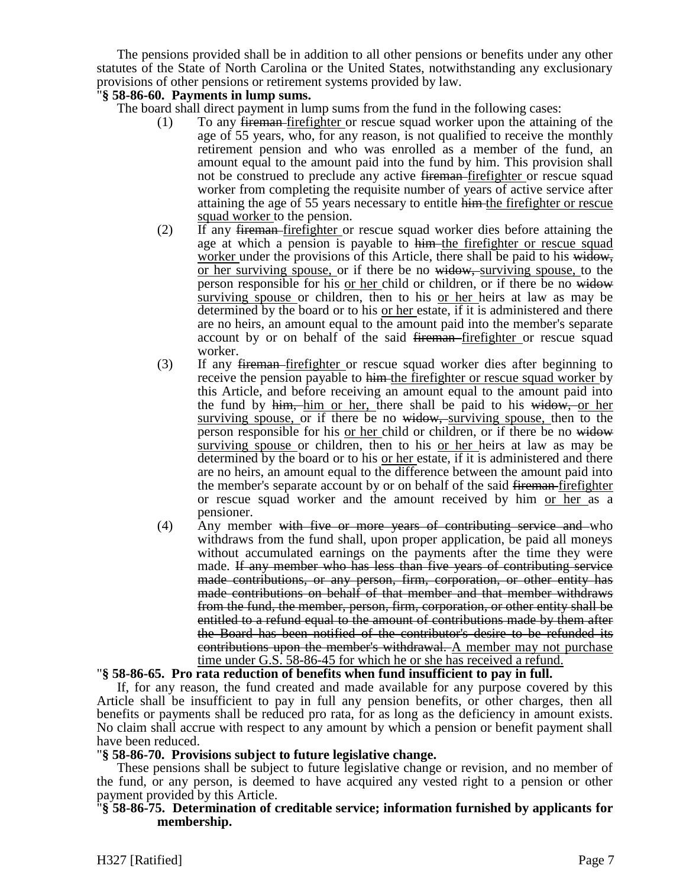The pensions provided shall be in addition to all other pensions or benefits under any other statutes of the State of North Carolina or the United States, notwithstanding any exclusionary provisions of other pensions or retirement systems provided by law.

## "**§ 58-86-60. Payments in lump sums.**

The board shall direct payment in lump sums from the fund in the following cases:

- (1) To any fireman firefighter or rescue squad worker upon the attaining of the age of 55 years, who, for any reason, is not qualified to receive the monthly retirement pension and who was enrolled as a member of the fund, an amount equal to the amount paid into the fund by him. This provision shall not be construed to preclude any active fireman-firefighter or rescue squad worker from completing the requisite number of years of active service after attaining the age of 55 years necessary to entitle him the firefighter or rescue squad worker to the pension.
- (2) If any fireman firefighter or rescue squad worker dies before attaining the age at which a pension is payable to him the firefighter or rescue squad worker under the provisions of this Article, there shall be paid to his widow, or her surviving spouse, or if there be no widow, surviving spouse, to the person responsible for his or her child or children, or if there be no widow surviving spouse or children, then to his or her heirs at law as may be determined by the board or to his or her estate, if it is administered and there are no heirs, an amount equal to the amount paid into the member's separate account by or on behalf of the said <del>fireman</del>-firefighter or rescue squad worker.
- (3) If any fireman firefighter or rescue squad worker dies after beginning to receive the pension payable to him the firefighter or rescue squad worker by this Article, and before receiving an amount equal to the amount paid into the fund by him, him or her, there shall be paid to his widow, or her surviving spouse, or if there be no widow, surviving spouse, then to the person responsible for his or her child or children, or if there be no widow surviving spouse or children, then to his or her heirs at law as may be determined by the board or to his or her estate, if it is administered and there are no heirs, an amount equal to the difference between the amount paid into the member's separate account by or on behalf of the said fireman-firefighter or rescue squad worker and the amount received by him or her as a pensioner.
- $(4)$  Any member with five or more years of contributing service and who withdraws from the fund shall, upon proper application, be paid all moneys without accumulated earnings on the payments after the time they were made. If any member who has less than five years of contributing service made contributions, or any person, firm, corporation, or other entity has made contributions on behalf of that member and that member withdraws from the fund, the member, person, firm, corporation, or other entity shall be entitled to a refund equal to the amount of contributions made by them after the Board has been notified of the contributor's desire to be refunded its contributions upon the member's withdrawal. A member may not purchase time under G.S. 58-86-45 for which he or she has received a refund.

## "**§ 58-86-65. Pro rata reduction of benefits when fund insufficient to pay in full.**

If, for any reason, the fund created and made available for any purpose covered by this Article shall be insufficient to pay in full any pension benefits, or other charges, then all benefits or payments shall be reduced pro rata, for as long as the deficiency in amount exists. No claim shall accrue with respect to any amount by which a pension or benefit payment shall have been reduced.

## "**§ 58-86-70. Provisions subject to future legislative change.**

These pensions shall be subject to future legislative change or revision, and no member of the fund, or any person, is deemed to have acquired any vested right to a pension or other payment provided by this Article.

## "**§ 58-86-75. Determination of creditable service; information furnished by applicants for membership.**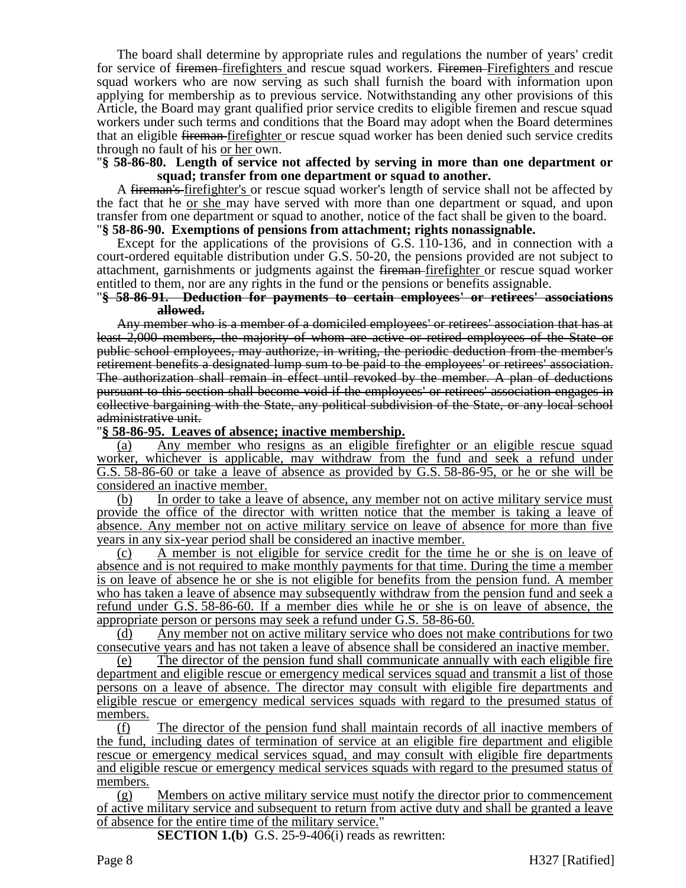The board shall determine by appropriate rules and regulations the number of years' credit for service of <del>firemen</del>-firefighters and rescue squad workers. Firemen-Firefighters and rescue squad workers who are now serving as such shall furnish the board with information upon applying for membership as to previous service. Notwithstanding any other provisions of this Article, the Board may grant qualified prior service credits to eligible firemen and rescue squad workers under such terms and conditions that the Board may adopt when the Board determines that an eligible fireman firefighter or rescue squad worker has been denied such service credits through no fault of his or her own.

### "**§ 58-86-80. Length of service not affected by serving in more than one department or squad; transfer from one department or squad to another.**

A fireman's-firefighter's or rescue squad worker's length of service shall not be affected by the fact that he or she may have served with more than one department or squad, and upon transfer from one department or squad to another, notice of the fact shall be given to the board. "**§ 58-86-90. Exemptions of pensions from attachment; rights nonassignable.**

Except for the applications of the provisions of G.S. 110-136, and in connection with a court-ordered equitable distribution under G.S. 50-20, the pensions provided are not subject to attachment, garnishments or judgments against the fireman firefighter or rescue squad worker entitled to them, nor are any rights in the fund or the pensions or benefits assignable.

#### "**§ 58-86-91. Deduction for payments to certain employees' or retirees' associations allowed.**

Any member who is a member of a domiciled employees' or retirees' association that has at least 2,000 members, the majority of whom are active or retired employees of the State or public school employees, may authorize, in writing, the periodic deduction from the member's retirement benefits a designated lump sum to be paid to the employees' or retirees' association. The authorization shall remain in effect until revoked by the member. A plan of deductions pursuant to this section shall become void if the employees' or retirees' association engages in collective bargaining with the State, any political subdivision of the State, or any local school administrative unit.

### "**§ 58-86-95. Leaves of absence; inactive membership.**

(a) Any member who resigns as an eligible firefighter or an eligible rescue squad worker, whichever is applicable, may withdraw from the fund and seek a refund under G.S. 58-86-60 or take a leave of absence as provided by G.S. 58-86-95, or he or she will be considered an inactive member.

(b) In order to take a leave of absence, any member not on active military service must provide the office of the director with written notice that the member is taking a leave of absence. Any member not on active military service on leave of absence for more than five years in any six-year period shall be considered an inactive member.

(c) A member is not eligible for service credit for the time he or she is on leave of absence and is not required to make monthly payments for that time. During the time a member is on leave of absence he or she is not eligible for benefits from the pension fund. A member who has taken a leave of absence may subsequently withdraw from the pension fund and seek a refund under G.S. 58-86-60. If a member dies while he or she is on leave of absence, the appropriate person or persons may seek a refund under G.S. 58-86-60.

(d) Any member not on active military service who does not make contributions for two consecutive years and has not taken a leave of absence shall be considered an inactive member.

(e) The director of the pension fund shall communicate annually with each eligible fire department and eligible rescue or emergency medical services squad and transmit a list of those persons on a leave of absence. The director may consult with eligible fire departments and eligible rescue or emergency medical services squads with regard to the presumed status of members.

(f) The director of the pension fund shall maintain records of all inactive members of the fund, including dates of termination of service at an eligible fire department and eligible rescue or emergency medical services squad, and may consult with eligible fire departments and eligible rescue or emergency medical services squads with regard to the presumed status of members.

(g) Members on active military service must notify the director prior to commencement of active military service and subsequent to return from active duty and shall be granted a leave of absence for the entire time of the military service."

**SECTION 1.(b)** G.S. 25-9-406(i) reads as rewritten: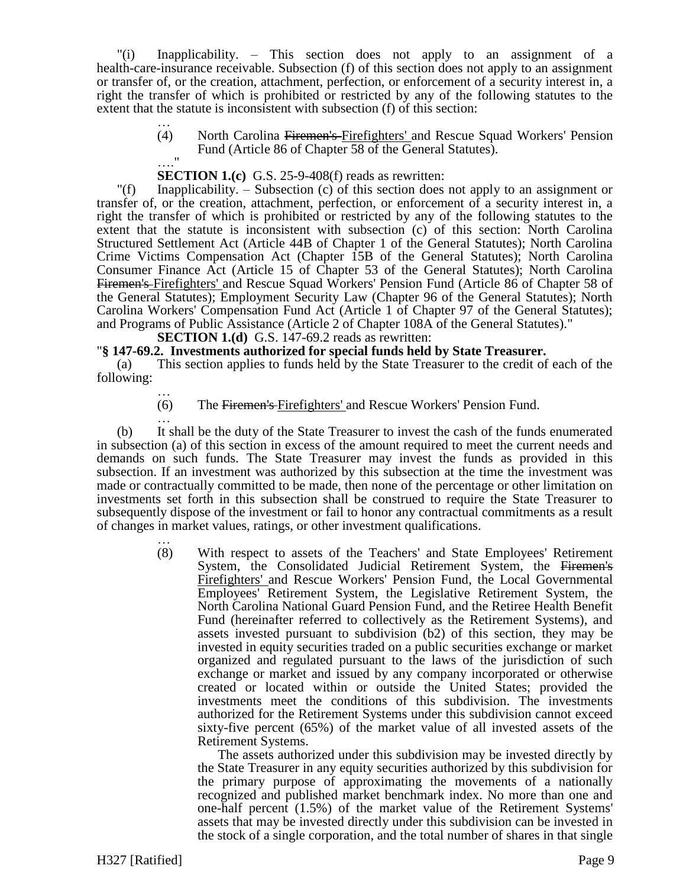"(i) Inapplicability. – This section does not apply to an assignment of a health-care-insurance receivable. Subsection (f) of this section does not apply to an assignment or transfer of, or the creation, attachment, perfection, or enforcement of a security interest in, a right the transfer of which is prohibited or restricted by any of the following statutes to the extent that the statute is inconsistent with subsection (f) of this section:

> … (4) North Carolina Firemen's Firefighters' and Rescue Squad Workers' Pension Fund (Article 86 of Chapter 58 of the General Statutes).  $\mathbf{u}$

# **SECTION 1.(c)** G.S. 25-9-408(f) reads as rewritten:

"(f) Inapplicability. – Subsection (c) of this section does not apply to an assignment or transfer of, or the creation, attachment, perfection, or enforcement of a security interest in, a right the transfer of which is prohibited or restricted by any of the following statutes to the extent that the statute is inconsistent with subsection (c) of this section: North Carolina Structured Settlement Act (Article 44B of Chapter 1 of the General Statutes); North Carolina Crime Victims Compensation Act (Chapter 15B of the General Statutes); North Carolina Consumer Finance Act (Article 15 of Chapter 53 of the General Statutes); North Carolina Firemen's Firefighters' and Rescue Squad Workers' Pension Fund (Article 86 of Chapter 58 of the General Statutes); Employment Security Law (Chapter 96 of the General Statutes); North Carolina Workers' Compensation Fund Act (Article 1 of Chapter 97 of the General Statutes); and Programs of Public Assistance (Article 2 of Chapter 108A of the General Statutes)."

**SECTION 1.(d)** G.S. 147-69.2 reads as rewritten:

### "**§ 147-69.2. Investments authorized for special funds held by State Treasurer.**

(a) This section applies to funds held by the State Treasurer to the credit of each of the following:

… (6) The Firemen's Firefighters' and Rescue Workers' Pension Fund.

… (b) It shall be the duty of the State Treasurer to invest the cash of the funds enumerated in subsection (a) of this section in excess of the amount required to meet the current needs and demands on such funds. The State Treasurer may invest the funds as provided in this subsection. If an investment was authorized by this subsection at the time the investment was made or contractually committed to be made, then none of the percentage or other limitation on investments set forth in this subsection shall be construed to require the State Treasurer to subsequently dispose of the investment or fail to honor any contractual commitments as a result of changes in market values, ratings, or other investment qualifications.

> … (8) With respect to assets of the Teachers' and State Employees' Retirement System, the Consolidated Judicial Retirement System, the Firemen's Firefighters' and Rescue Workers' Pension Fund, the Local Governmental Employees' Retirement System, the Legislative Retirement System, the North Carolina National Guard Pension Fund, and the Retiree Health Benefit Fund (hereinafter referred to collectively as the Retirement Systems), and assets invested pursuant to subdivision (b2) of this section, they may be invested in equity securities traded on a public securities exchange or market organized and regulated pursuant to the laws of the jurisdiction of such exchange or market and issued by any company incorporated or otherwise created or located within or outside the United States; provided the investments meet the conditions of this subdivision. The investments authorized for the Retirement Systems under this subdivision cannot exceed sixty-five percent (65%) of the market value of all invested assets of the Retirement Systems.

The assets authorized under this subdivision may be invested directly by the State Treasurer in any equity securities authorized by this subdivision for the primary purpose of approximating the movements of a nationally recognized and published market benchmark index. No more than one and one-half percent (1.5%) of the market value of the Retirement Systems' assets that may be invested directly under this subdivision can be invested in the stock of a single corporation, and the total number of shares in that single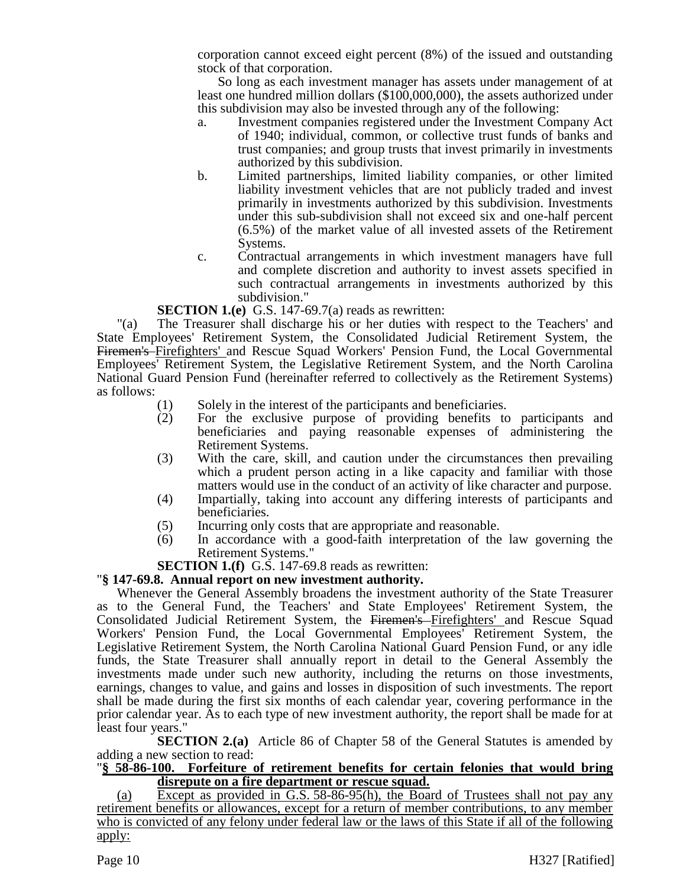corporation cannot exceed eight percent (8%) of the issued and outstanding stock of that corporation.

So long as each investment manager has assets under management of at least one hundred million dollars (\$100,000,000), the assets authorized under this subdivision may also be invested through any of the following:

- a. Investment companies registered under the Investment Company Act of 1940; individual, common, or collective trust funds of banks and trust companies; and group trusts that invest primarily in investments authorized by this subdivision.
- b. Limited partnerships, limited liability companies, or other limited liability investment vehicles that are not publicly traded and invest primarily in investments authorized by this subdivision. Investments under this sub-subdivision shall not exceed six and one-half percent (6.5%) of the market value of all invested assets of the Retirement Systems.
- c. Contractual arrangements in which investment managers have full and complete discretion and authority to invest assets specified in such contractual arrangements in investments authorized by this subdivision."

# **SECTION 1.(e)** G.S. 147-69.7(a) reads as rewritten:

"(a) The Treasurer shall discharge his or her duties with respect to the Teachers' and State Employees' Retirement System, the Consolidated Judicial Retirement System, the Firemen's Firefighters' and Rescue Squad Workers' Pension Fund, the Local Governmental Employees' Retirement System, the Legislative Retirement System, and the North Carolina National Guard Pension Fund (hereinafter referred to collectively as the Retirement Systems) as follows:

- (1) Solely in the interest of the participants and beneficiaries.
- (2) For the exclusive purpose of providing benefits to participants and beneficiaries and paying reasonable expenses of administering the Retirement Systems.
- (3) With the care, skill, and caution under the circumstances then prevailing which a prudent person acting in a like capacity and familiar with those matters would use in the conduct of an activity of like character and purpose.
- (4) Impartially, taking into account any differing interests of participants and beneficiaries.
- (5) Incurring only costs that are appropriate and reasonable.
- (6) In accordance with a good-faith interpretation of the law governing the Retirement Systems."

# **SECTION 1.(f)** G.S. 147-69.8 reads as rewritten:

# "**§ 147-69.8. Annual report on new investment authority.**

Whenever the General Assembly broadens the investment authority of the State Treasurer as to the General Fund, the Teachers' and State Employees' Retirement System, the Consolidated Judicial Retirement System, the Firemen's Firefighters' and Rescue Squad Workers' Pension Fund, the Local Governmental Employees' Retirement System, the Legislative Retirement System, the North Carolina National Guard Pension Fund, or any idle funds, the State Treasurer shall annually report in detail to the General Assembly the investments made under such new authority, including the returns on those investments, earnings, changes to value, and gains and losses in disposition of such investments. The report shall be made during the first six months of each calendar year, covering performance in the prior calendar year. As to each type of new investment authority, the report shall be made for at least four years."

**SECTION 2.(a)** Article 86 of Chapter 58 of the General Statutes is amended by adding a new section to read:

## "**§ 58-86-100. Forfeiture of retirement benefits for certain felonies that would bring disrepute on a fire department or rescue squad.**

(a) Except as provided in G.S. 58-86-95(h), the Board of Trustees shall not pay any retirement benefits or allowances, except for a return of member contributions, to any member who is convicted of any felony under federal law or the laws of this State if all of the following apply: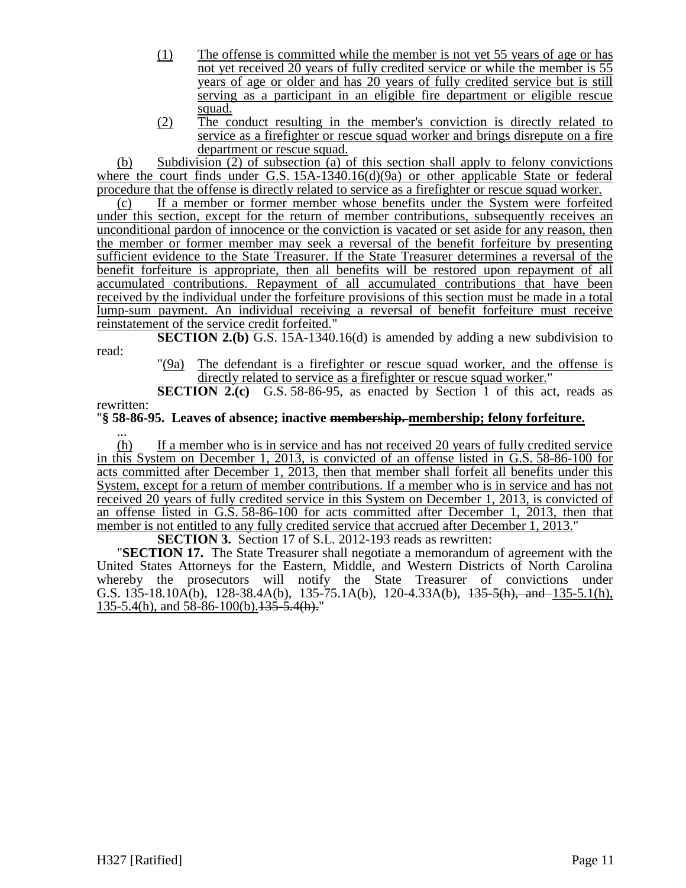- (1) The offense is committed while the member is not yet 55 years of age or has not yet received 20 years of fully credited service or while the member is 55 years of age or older and has 20 years of fully credited service but is still serving as a participant in an eligible fire department or eligible rescue squad.
- (2) The conduct resulting in the member's conviction is directly related to service as a firefighter or rescue squad worker and brings disrepute on a fire department or rescue squad.

(b) Subdivision (2) of subsection (a) of this section shall apply to felony convictions where the court finds under G.S. 15A-1340.16(d)(9a) or other applicable State or federal procedure that the offense is directly related to service as a firefighter or rescue squad worker.

(c) If a member or former member whose benefits under the System were forfeited under this section, except for the return of member contributions, subsequently receives an unconditional pardon of innocence or the conviction is vacated or set aside for any reason, then the member or former member may seek a reversal of the benefit forfeiture by presenting sufficient evidence to the State Treasurer. If the State Treasurer determines a reversal of the benefit forfeiture is appropriate, then all benefits will be restored upon repayment of all accumulated contributions. Repayment of all accumulated contributions that have been received by the individual under the forfeiture provisions of this section must be made in a total lump-sum payment. An individual receiving a reversal of benefit forfeiture must receive reinstatement of the service credit forfeited."

**SECTION 2.(b)** G.S. 15A-1340.16(d) is amended by adding a new subdivision to read:

"(9a) The defendant is a firefighter or rescue squad worker, and the offense is directly related to service as a firefighter or rescue squad worker."

**SECTION 2.(c)** G.S. 58-86-95, as enacted by Section 1 of this act, reads as rewritten:

# "**§ 58-86-95. Leaves of absence; inactive membership. membership; felony forfeiture.**

... (h) If a member who is in service and has not received 20 years of fully credited service in this System on December 1, 2013, is convicted of an offense listed in G.S. 58-86-100 for acts committed after December 1, 2013, then that member shall forfeit all benefits under this System, except for a return of member contributions. If a member who is in service and has not received 20 years of fully credited service in this System on December 1, 2013, is convicted of an offense listed in G.S. 58-86-100 for acts committed after December 1, 2013, then that member is not entitled to any fully credited service that accrued after December 1, 2013."

**SECTION 3.** Section 17 of S.L. 2012-193 reads as rewritten:

"**SECTION 17.** The State Treasurer shall negotiate a memorandum of agreement with the United States Attorneys for the Eastern, Middle, and Western Districts of North Carolina whereby the prosecutors will notify the State Treasurer of convictions under G.S. 135-18.10A(b), 128-38.4A(b), 135-75.1A(b), 120-4.33A(b),  $\frac{135-5(h)}{h}$ , and 135-5.1(h), 135-5.4(h), and 58-86-100(b). 135-5.4(h)."